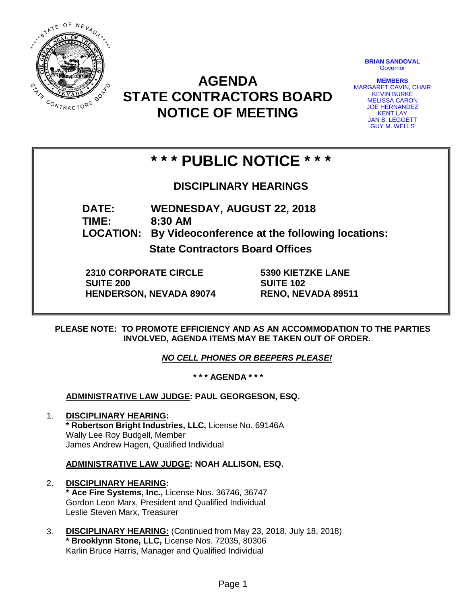

# **AGENDA STATE CONTRACTORS BOARD NOTICE OF MEETING**

**BRIAN SANDOVAL Governor** 

**MEMBERS** MARGARET CAVIN, CHAIR KEVIN BURKE MELISSA CARON JOE HERNANDEZ KENT LAY JAN B. LEGGETT GUY M. WELLS

# **\* \* \* PUBLIC NOTICE \* \* \***

**DISCIPLINARY HEARINGS**

**DATE: WEDNESDAY, AUGUST 22, 2018 TIME: 8:30 AM**

**LOCATION: By Videoconference at the following locations:**

**State Contractors Board Offices**

**2310 CORPORATE CIRCLE SUITE 200 HENDERSON, NEVADA 89074** **5390 KIETZKE LANE SUITE 102 RENO, NEVADA 89511**

**PLEASE NOTE: TO PROMOTE EFFICIENCY AND AS AN ACCOMMODATION TO THE PARTIES INVOLVED, AGENDA ITEMS MAY BE TAKEN OUT OF ORDER.**

*NO CELL PHONES OR BEEPERS PLEASE!* 

**\* \* \* AGENDA \* \* \***

**ADMINISTRATIVE LAW JUDGE: PAUL GEORGESON, ESQ.** 

1. **DISCIPLINARY HEARING: \* Robertson Bright Industries, LLC,** License No. 69146A Wally Lee Roy Budgell, Member James Andrew Hagen, Qualified Individual

**ADMINISTRATIVE LAW JUDGE: NOAH ALLISON, ESQ.** 

- 2. **DISCIPLINARY HEARING: \* Ace Fire Systems, Inc.,** License Nos. 36746, 36747 Gordon Leon Marx, President and Qualified Individual Leslie Steven Marx, Treasurer
- 3. **DISCIPLINARY HEARING:** (Continued from May 23, 2018, July 18, 2018) **\* Brooklynn Stone, LLC,** License Nos. 72035, 80306 Karlin Bruce Harris, Manager and Qualified Individual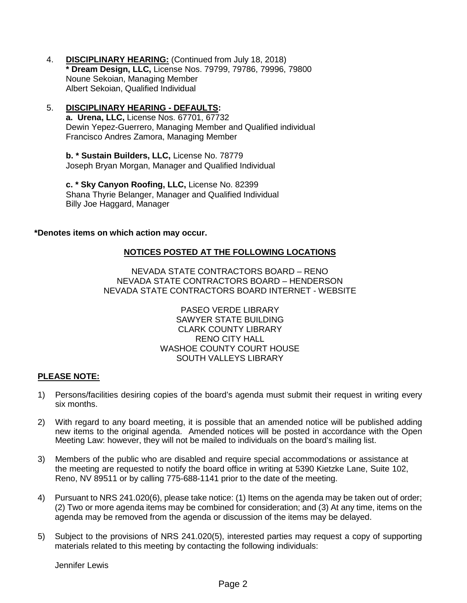- 4. **DISCIPLINARY HEARING:** (Continued from July 18, 2018) **\* Dream Design, LLC,** License Nos. 79799, 79786, 79996, 79800 Noune Sekoian, Managing Member Albert Sekoian, Qualified Individual
- 5. **DISCIPLINARY HEARING - DEFAULTS:**

**a. Urena, LLC,** License Nos. 67701, 67732 Dewin Yepez-Guerrero, Managing Member and Qualified individual Francisco Andres Zamora, Managing Member

**b. \* Sustain Builders, LLC,** License No. 78779 Joseph Bryan Morgan, Manager and Qualified Individual

**c. \* Sky Canyon Roofing, LLC,** License No. 82399 Shana Thyrie Belanger, Manager and Qualified Individual Billy Joe Haggard, Manager

#### **\*Denotes items on which action may occur.**

## **NOTICES POSTED AT THE FOLLOWING LOCATIONS**

NEVADA STATE CONTRACTORS BOARD – RENO NEVADA STATE CONTRACTORS BOARD – HENDERSON NEVADA STATE CONTRACTORS BOARD INTERNET - WEBSITE

> PASEO VERDE LIBRARY SAWYER STATE BUILDING CLARK COUNTY LIBRARY RENO CITY HALL WASHOE COUNTY COURT HOUSE SOUTH VALLEYS LIBRARY

## **PLEASE NOTE:**

- 1) Persons/facilities desiring copies of the board's agenda must submit their request in writing every six months.
- 2) With regard to any board meeting, it is possible that an amended notice will be published adding new items to the original agenda. Amended notices will be posted in accordance with the Open Meeting Law: however, they will not be mailed to individuals on the board's mailing list.
- 3) Members of the public who are disabled and require special accommodations or assistance at the meeting are requested to notify the board office in writing at 5390 Kietzke Lane, Suite 102, Reno, NV 89511 or by calling 775-688-1141 prior to the date of the meeting.
- 4) Pursuant to NRS 241.020(6), please take notice: (1) Items on the agenda may be taken out of order; (2) Two or more agenda items may be combined for consideration; and (3) At any time, items on the agenda may be removed from the agenda or discussion of the items may be delayed.
- 5) Subject to the provisions of NRS 241.020(5), interested parties may request a copy of supporting materials related to this meeting by contacting the following individuals:

Jennifer Lewis